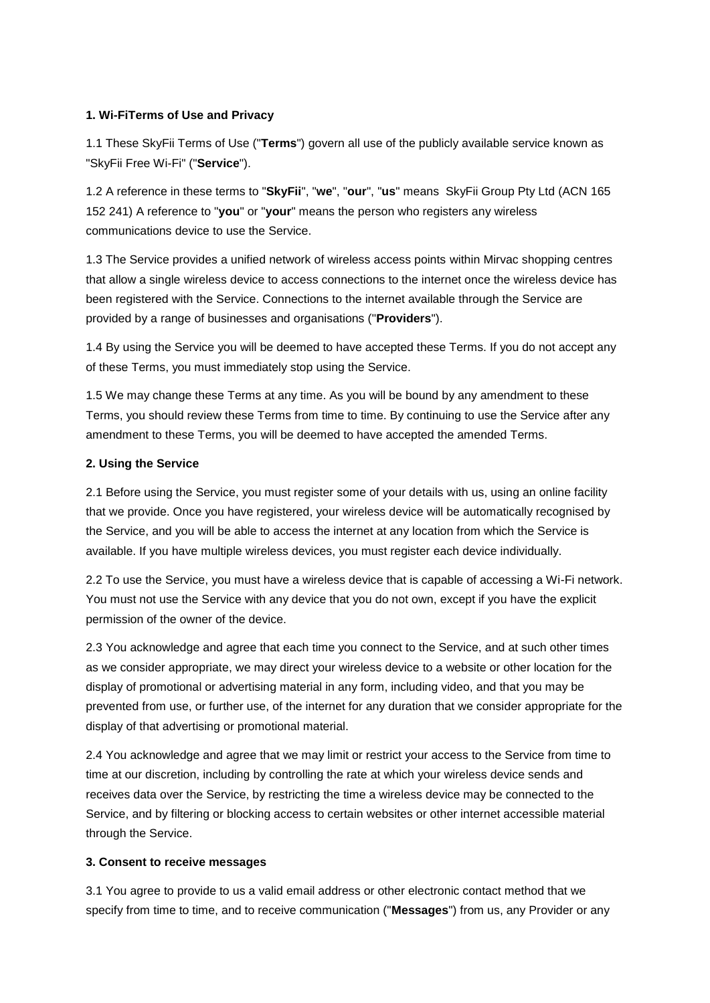## **1. Wi-FiTerms of Use and Privacy**

1.1 These SkyFii Terms of Use ("**Terms**") govern all use of the publicly available service known as "SkyFii Free Wi-Fi" ("**Service**").

1.2 A reference in these terms to "**SkyFii**", "**we**", "**our**", "**us**" means SkyFii Group Pty Ltd (ACN 165 152 241) A reference to "**you**" or "**your**" means the person who registers any wireless communications device to use the Service.

1.3 The Service provides a unified network of wireless access points within Mirvac shopping centres that allow a single wireless device to access connections to the internet once the wireless device has been registered with the Service. Connections to the internet available through the Service are provided by a range of businesses and organisations ("**Providers**").

1.4 By using the Service you will be deemed to have accepted these Terms. If you do not accept any of these Terms, you must immediately stop using the Service.

1.5 We may change these Terms at any time. As you will be bound by any amendment to these Terms, you should review these Terms from time to time. By continuing to use the Service after any amendment to these Terms, you will be deemed to have accepted the amended Terms.

## **2. Using the Service**

2.1 Before using the Service, you must register some of your details with us, using an online facility that we provide. Once you have registered, your wireless device will be automatically recognised by the Service, and you will be able to access the internet at any location from which the Service is available. If you have multiple wireless devices, you must register each device individually.

2.2 To use the Service, you must have a wireless device that is capable of accessing a Wi-Fi network. You must not use the Service with any device that you do not own, except if you have the explicit permission of the owner of the device.

2.3 You acknowledge and agree that each time you connect to the Service, and at such other times as we consider appropriate, we may direct your wireless device to a website or other location for the display of promotional or advertising material in any form, including video, and that you may be prevented from use, or further use, of the internet for any duration that we consider appropriate for the display of that advertising or promotional material.

2.4 You acknowledge and agree that we may limit or restrict your access to the Service from time to time at our discretion, including by controlling the rate at which your wireless device sends and receives data over the Service, by restricting the time a wireless device may be connected to the Service, and by filtering or blocking access to certain websites or other internet accessible material through the Service.

### **3. Consent to receive messages**

3.1 You agree to provide to us a valid email address or other electronic contact method that we specify from time to time, and to receive communication ("**Messages**") from us, any Provider or any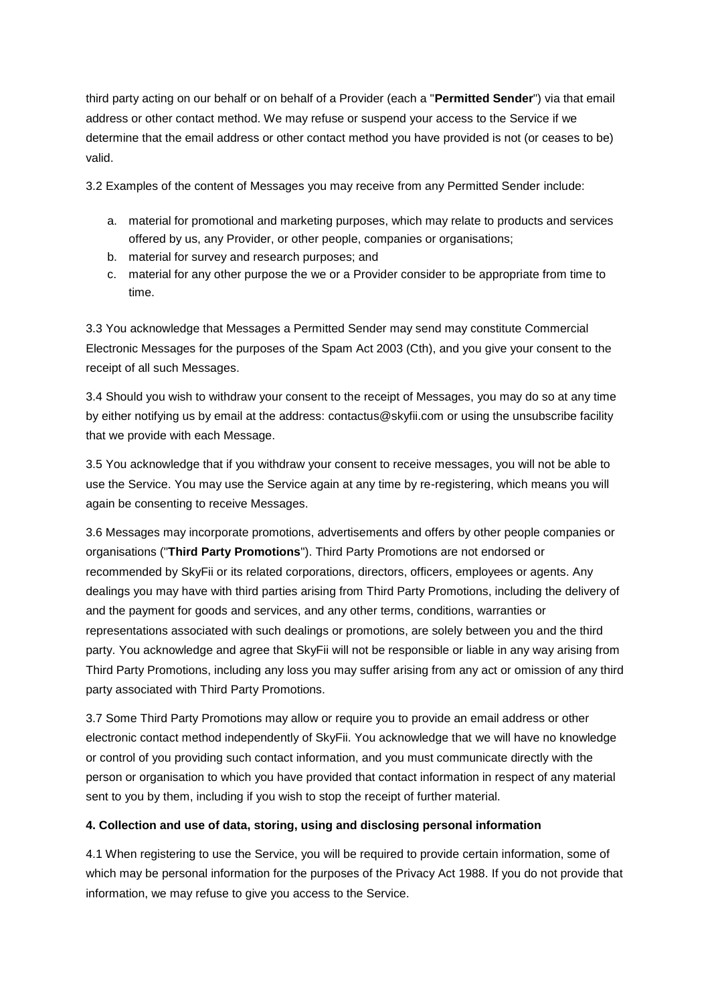third party acting on our behalf or on behalf of a Provider (each a "**Permitted Sender**") via that email address or other contact method. We may refuse or suspend your access to the Service if we determine that the email address or other contact method you have provided is not (or ceases to be) valid.

3.2 Examples of the content of Messages you may receive from any Permitted Sender include:

- a. material for promotional and marketing purposes, which may relate to products and services offered by us, any Provider, or other people, companies or organisations;
- b. material for survey and research purposes; and
- c. material for any other purpose the we or a Provider consider to be appropriate from time to time.

3.3 You acknowledge that Messages a Permitted Sender may send may constitute Commercial Electronic Messages for the purposes of the Spam Act 2003 (Cth), and you give your consent to the receipt of all such Messages.

3.4 Should you wish to withdraw your consent to the receipt of Messages, you may do so at any time by either notifying us by email at the address: [contactus@skyfii.com](mailto:contactus@skyfii.com) or using the unsubscribe facility that we provide with each Message.

3.5 You acknowledge that if you withdraw your consent to receive messages, you will not be able to use the Service. You may use the Service again at any time by re-registering, which means you will again be consenting to receive Messages.

3.6 Messages may incorporate promotions, advertisements and offers by other people companies or organisations ("**Third Party Promotions**"). Third Party Promotions are not endorsed or recommended by SkyFii or its related corporations, directors, officers, employees or agents. Any dealings you may have with third parties arising from Third Party Promotions, including the delivery of and the payment for goods and services, and any other terms, conditions, warranties or representations associated with such dealings or promotions, are solely between you and the third party. You acknowledge and agree that SkyFii will not be responsible or liable in any way arising from Third Party Promotions, including any loss you may suffer arising from any act or omission of any third party associated with Third Party Promotions.

3.7 Some Third Party Promotions may allow or require you to provide an email address or other electronic contact method independently of SkyFii. You acknowledge that we will have no knowledge or control of you providing such contact information, and you must communicate directly with the person or organisation to which you have provided that contact information in respect of any material sent to you by them, including if you wish to stop the receipt of further material.

### **4. Collection and use of data, storing, using and disclosing personal information**

4.1 When registering to use the Service, you will be required to provide certain information, some of which may be personal information for the purposes of the Privacy Act 1988. If you do not provide that information, we may refuse to give you access to the Service.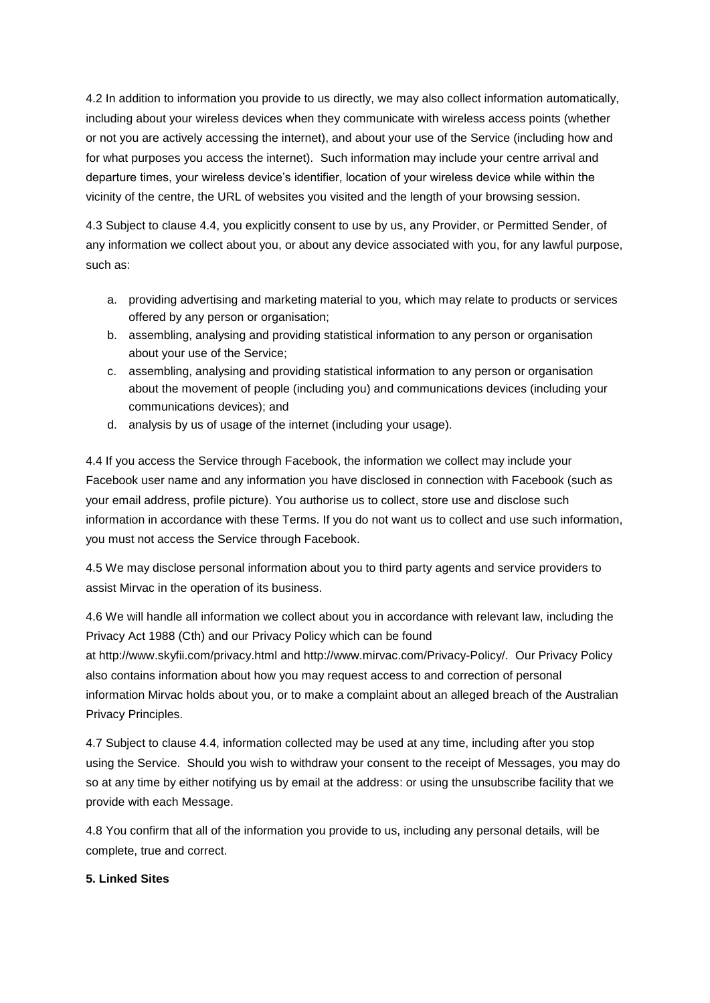4.2 In addition to information you provide to us directly, we may also collect information automatically, including about your wireless devices when they communicate with wireless access points (whether or not you are actively accessing the internet), and about your use of the Service (including how and for what purposes you access the internet). Such information may include your centre arrival and departure times, your wireless device's identifier, location of your wireless device while within the vicinity of the centre, the URL of websites you visited and the length of your browsing session.

4.3 Subject to clause 4.4, you explicitly consent to use by us, any Provider, or Permitted Sender, of any information we collect about you, or about any device associated with you, for any lawful purpose, such as:

- a. providing advertising and marketing material to you, which may relate to products or services offered by any person or organisation;
- b. assembling, analysing and providing statistical information to any person or organisation about your use of the Service;
- c. assembling, analysing and providing statistical information to any person or organisation about the movement of people (including you) and communications devices (including your communications devices); and
- d. analysis by us of usage of the internet (including your usage).

4.4 If you access the Service through Facebook, the information we collect may include your Facebook user name and any information you have disclosed in connection with Facebook (such as your email address, profile picture). You authorise us to collect, store use and disclose such information in accordance with these Terms. If you do not want us to collect and use such information, you must not access the Service through Facebook.

4.5 We may disclose personal information about you to third party agents and service providers to assist Mirvac in the operation of its business.

4.6 We will handle all information we collect about you in accordance with relevant law, including the Privacy Act 1988 (Cth) and our Privacy Policy which can be found at <http://www.skyfii.com/privacy.html> and http://www.mirvac.com/Privacy-Policy/. Our Privacy Policy also contains information about how you may request access to and correction of personal information Mirvac holds about you, or to make a complaint about an alleged breach of the Australian Privacy Principles.

4.7 Subject to clause 4.4, information collected may be used at any time, including after you stop using the Service. Should you wish to withdraw your consent to the receipt of Messages, you may do so at any time by either notifying us by email at the address: or using the unsubscribe facility that we provide with each Message.

4.8 You confirm that all of the information you provide to us, including any personal details, will be complete, true and correct.

## **5. Linked Sites**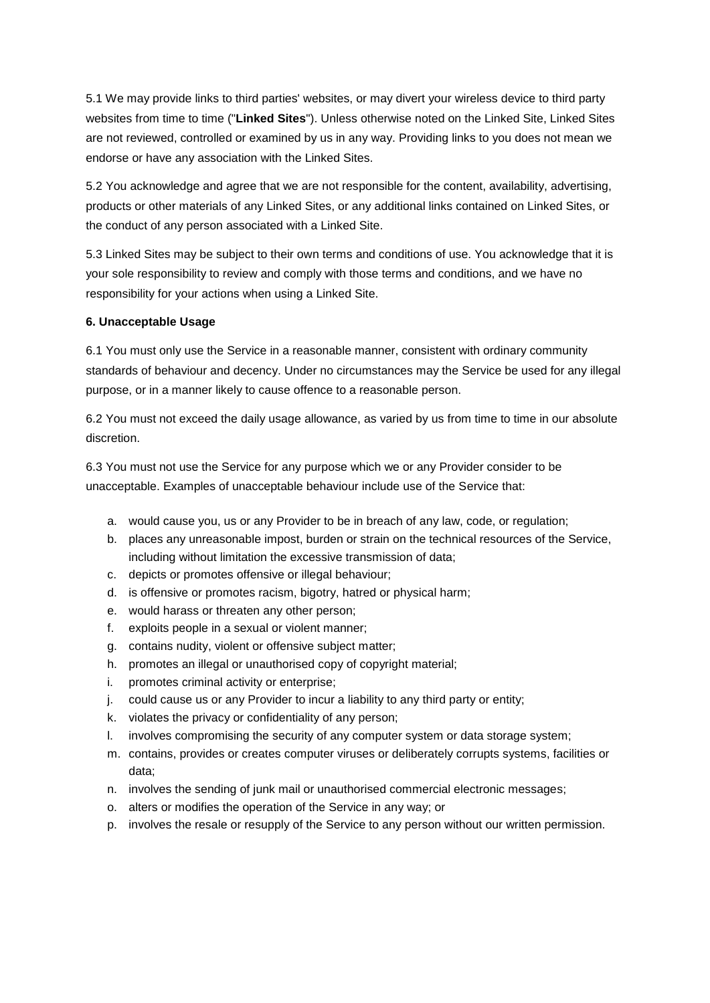5.1 We may provide links to third parties' websites, or may divert your wireless device to third party websites from time to time ("**Linked Sites**"). Unless otherwise noted on the Linked Site, Linked Sites are not reviewed, controlled or examined by us in any way. Providing links to you does not mean we endorse or have any association with the Linked Sites.

5.2 You acknowledge and agree that we are not responsible for the content, availability, advertising, products or other materials of any Linked Sites, or any additional links contained on Linked Sites, or the conduct of any person associated with a Linked Site.

5.3 Linked Sites may be subject to their own terms and conditions of use. You acknowledge that it is your sole responsibility to review and comply with those terms and conditions, and we have no responsibility for your actions when using a Linked Site.

## **6. Unacceptable Usage**

6.1 You must only use the Service in a reasonable manner, consistent with ordinary community standards of behaviour and decency. Under no circumstances may the Service be used for any illegal purpose, or in a manner likely to cause offence to a reasonable person.

6.2 You must not exceed the daily usage allowance, as varied by us from time to time in our absolute discretion.

6.3 You must not use the Service for any purpose which we or any Provider consider to be unacceptable. Examples of unacceptable behaviour include use of the Service that:

- a. would cause you, us or any Provider to be in breach of any law, code, or regulation;
- b. places any unreasonable impost, burden or strain on the technical resources of the Service, including without limitation the excessive transmission of data;
- c. depicts or promotes offensive or illegal behaviour;
- d. is offensive or promotes racism, bigotry, hatred or physical harm;
- e. would harass or threaten any other person;
- f. exploits people in a sexual or violent manner;
- g. contains nudity, violent or offensive subject matter;
- h. promotes an illegal or unauthorised copy of copyright material;
- i. promotes criminal activity or enterprise;
- j. could cause us or any Provider to incur a liability to any third party or entity;
- k. violates the privacy or confidentiality of any person;
- l. involves compromising the security of any computer system or data storage system;
- m. contains, provides or creates computer viruses or deliberately corrupts systems, facilities or data;
- n. involves the sending of junk mail or unauthorised commercial electronic messages;
- o. alters or modifies the operation of the Service in any way; or
- p. involves the resale or resupply of the Service to any person without our written permission.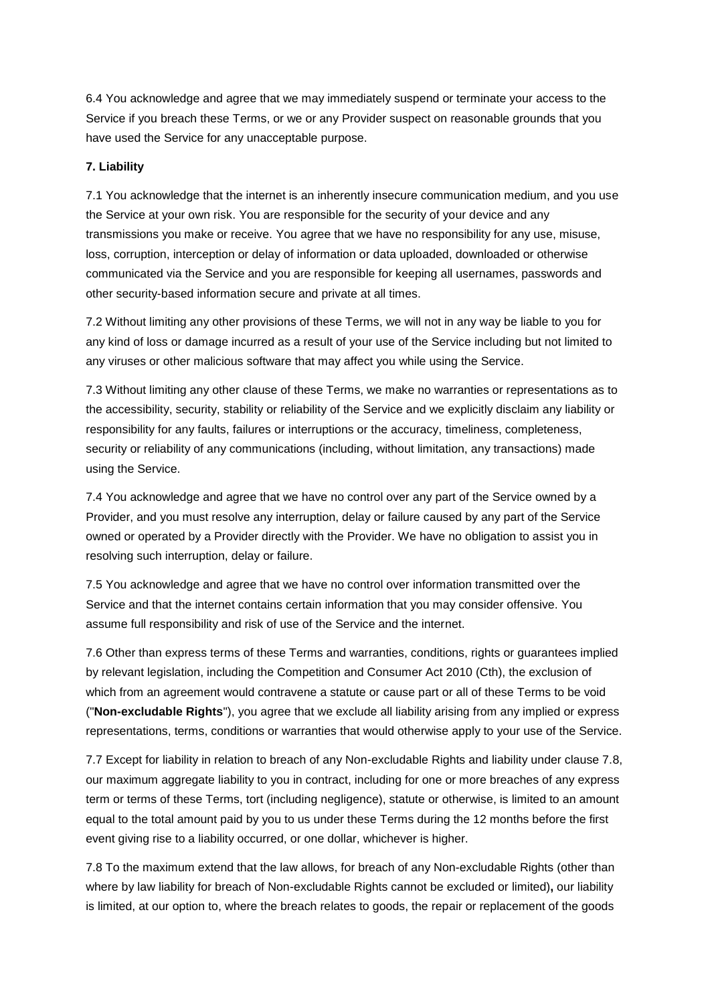6.4 You acknowledge and agree that we may immediately suspend or terminate your access to the Service if you breach these Terms, or we or any Provider suspect on reasonable grounds that you have used the Service for any unacceptable purpose.

### **7. Liability**

7.1 You acknowledge that the internet is an inherently insecure communication medium, and you use the Service at your own risk. You are responsible for the security of your device and any transmissions you make or receive. You agree that we have no responsibility for any use, misuse, loss, corruption, interception or delay of information or data uploaded, downloaded or otherwise communicated via the Service and you are responsible for keeping all usernames, passwords and other security-based information secure and private at all times.

7.2 Without limiting any other provisions of these Terms, we will not in any way be liable to you for any kind of loss or damage incurred as a result of your use of the Service including but not limited to any viruses or other malicious software that may affect you while using the Service.

7.3 Without limiting any other clause of these Terms, we make no warranties or representations as to the accessibility, security, stability or reliability of the Service and we explicitly disclaim any liability or responsibility for any faults, failures or interruptions or the accuracy, timeliness, completeness, security or reliability of any communications (including, without limitation, any transactions) made using the Service.

7.4 You acknowledge and agree that we have no control over any part of the Service owned by a Provider, and you must resolve any interruption, delay or failure caused by any part of the Service owned or operated by a Provider directly with the Provider. We have no obligation to assist you in resolving such interruption, delay or failure.

7.5 You acknowledge and agree that we have no control over information transmitted over the Service and that the internet contains certain information that you may consider offensive. You assume full responsibility and risk of use of the Service and the internet.

7.6 Other than express terms of these Terms and warranties, conditions, rights or guarantees implied by relevant legislation, including the Competition and Consumer Act 2010 (Cth), the exclusion of which from an agreement would contravene a statute or cause part or all of these Terms to be void ("**Non-excludable Rights**"), you agree that we exclude all liability arising from any implied or express representations, terms, conditions or warranties that would otherwise apply to your use of the Service.

7.7 Except for liability in relation to breach of any Non-excludable Rights and liability under clause 7.8, our maximum aggregate liability to you in contract, including for one or more breaches of any express term or terms of these Terms, tort (including negligence), statute or otherwise, is limited to an amount equal to the total amount paid by you to us under these Terms during the 12 months before the first event giving rise to a liability occurred, or one dollar, whichever is higher.

7.8 To the maximum extend that the law allows, for breach of any Non-excludable Rights (other than where by law liability for breach of Non-excludable Rights cannot be excluded or limited)**,** our liability is limited, at our option to, where the breach relates to goods, the repair or replacement of the goods